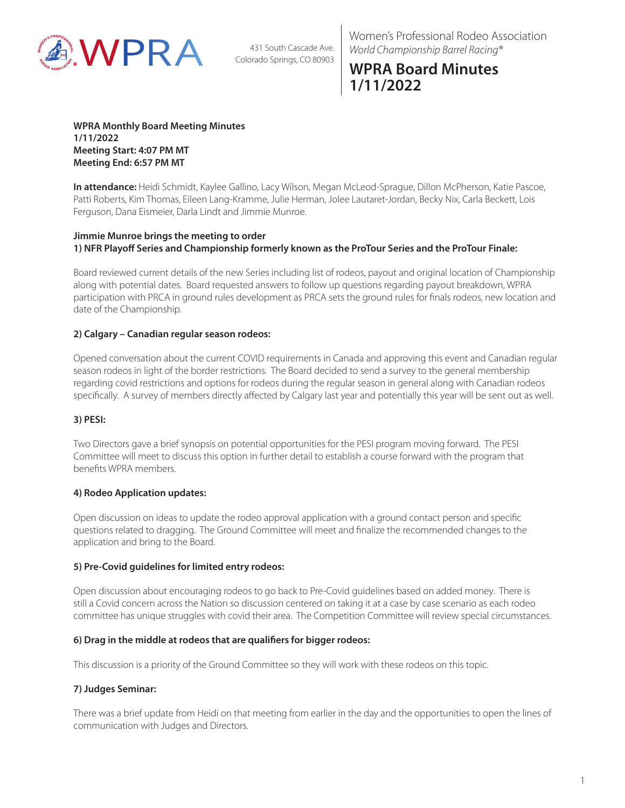

431 South Cascade Ave. Colorado Springs, CO 80903

Women's Professional Rodeo Association *World Championship Barrel Racing®*

# **WPRA Board Minutes 1/11/2022**

**WPRA Monthly Board Meeting Minutes 1/11/2022 Meeting Start: 4:07 PM MT Meeting End: 6:57 PM MT**

**In attendance:** Heidi Schmidt, Kaylee Gallino, Lacy Wilson, Megan McLeod-Sprague, Dillon McPherson, Katie Pascoe, Patti Roberts, Kim Thomas, Eileen Lang-Kramme, Julie Herman, Jolee Lautaret-Jordan, Becky Nix, Carla Beckett, Lois Ferguson, Dana Eismeier, Darla Lindt and Jimmie Munroe.

#### **Jimmie Munroe brings the meeting to order 1) NFR Playoff Series and Championship formerly known as the ProTour Series and the ProTour Finale:**

Board reviewed current details of the new Series including list of rodeos, payout and original location of Championship along with potential dates. Board requested answers to follow up questions regarding payout breakdown, WPRA participation with PRCA in ground rules development as PRCA sets the ground rules for finals rodeos, new location and date of the Championship.

## **2) Calgary – Canadian regular season rodeos:**

Opened conversation about the current COVID requirements in Canada and approving this event and Canadian regular season rodeos in light of the border restrictions. The Board decided to send a survey to the general membership regarding covid restrictions and options for rodeos during the regular season in general along with Canadian rodeos specifically. A survey of members directly affected by Calgary last year and potentially this year will be sent out as well.

## **3) PESI:**

Two Directors gave a brief synopsis on potential opportunities for the PESI program moving forward. The PESI Committee will meet to discuss this option in further detail to establish a course forward with the program that benefits WPRA members.

#### **4) Rodeo Application updates:**

Open discussion on ideas to update the rodeo approval application with a ground contact person and specific questions related to dragging. The Ground Committee will meet and finalize the recommended changes to the application and bring to the Board.

## **5) Pre-Covid guidelines for limited entry rodeos:**

Open discussion about encouraging rodeos to go back to Pre-Covid guidelines based on added money. There is still a Covid concern across the Nation so discussion centered on taking it at a case by case scenario as each rodeo committee has unique struggles with covid their area. The Competition Committee will review special circumstances.

#### **6) Drag in the middle at rodeos that are qualifiers for bigger rodeos:**

This discussion is a priority of the Ground Committee so they will work with these rodeos on this topic.

## **7) Judges Seminar:**

There was a brief update from Heidi on that meeting from earlier in the day and the opportunities to open the lines of communication with Judges and Directors.